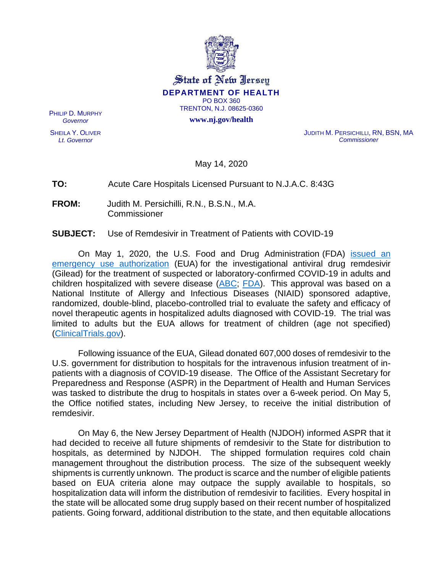

State of New Jersey **DEPARTMENT OF HEALTH** PO BOX 360 TRENTON, N.J. 08625-0360

**www.nj.gov/health**

PHILIP D. MURPHY *Governor*

SHEILA Y. OLIVER *Lt. Governor*

JUDITH M. PERSICHILLI, RN, BSN, MA *Commissioner*

May 14, 2020

#### **TO:** Acute Care Hospitals Licensed Pursuant to N.J.A.C. 8:43G

**FROM:** Judith M. Persichilli, R.N., B.S.N., M.A. Commissioner

#### **SUBJECT:** Use of Remdesivir in Treatment of Patients with COVID-19

On May 1, 2020, the U.S. Food and Drug Administration (FDA) issued an [emergency use authorization](https://www.fda.gov/media/137564/download) (EUA) for the investigational antiviral drug remdesivir (Gilead) for the treatment of suspected or laboratory-confirmed COVID-19 in adults and children hospitalized with severe disease [\(ABC;](https://abc7ny.com/remdesivir-adverse-side-effects-ramdesvir-usa-fda-approval-of/6143261/) [FDA\)](https://www.fda.gov/media/137564/download). This approval was based on a National Institute of Allergy and Infectious Diseases (NIAID) sponsored adaptive, randomized, double-blind, placebo-controlled trial to evaluate the safety and efficacy of novel therapeutic agents in hospitalized adults diagnosed with COVID-19. The trial was limited to adults but the EUA allows for treatment of children (age not specified) [\(ClinicalTrials.gov\)](https://clinicaltrials.gov/ct2/show/NCT04280705?term=Remdesivir&cond=COVID&cntry=US&draw=2&rank=6).

Following issuance of the EUA, Gilead donated 607,000 doses of remdesivir to the U.S. government for distribution to hospitals for the intravenous infusion treatment of inpatients with a diagnosis of COVID-19 disease. The Office of the Assistant Secretary for Preparedness and Response (ASPR) in the Department of Health and Human Services was tasked to distribute the drug to hospitals in states over a 6-week period. On May 5, the Office notified states, including New Jersey, to receive the initial distribution of remdesivir.

On May 6, the New Jersey Department of Health (NJDOH) informed ASPR that it had decided to receive all future shipments of remdesivir to the State for distribution to hospitals, as determined by NJDOH. The shipped formulation requires cold chain management throughout the distribution process. The size of the subsequent weekly shipments is currently unknown. The product is scarce and the number of eligible patients based on EUA criteria alone may outpace the supply available to hospitals, so hospitalization data will inform the distribution of remdesivir to facilities. Every hospital in the state will be allocated some drug supply based on their recent number of hospitalized patients. Going forward, additional distribution to the state, and then equitable allocations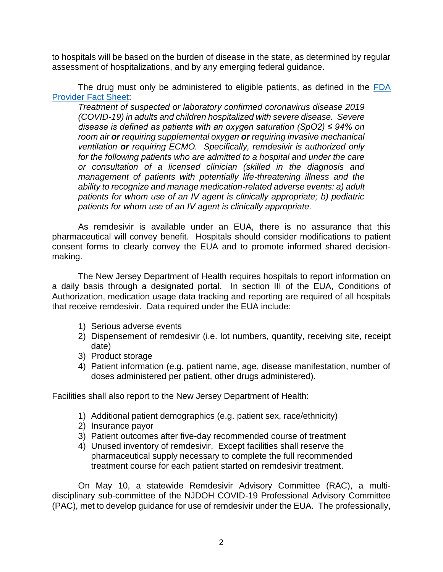to hospitals will be based on the burden of disease in the state, as determined by regular assessment of hospitalizations, and by any emerging federal guidance.

The drug must only be administered to eligible patients, as defined in the [FDA](https://www.fda.gov/media/137566/download)  [Provider Fact Sheet:](https://www.fda.gov/media/137566/download)

*Treatment of suspected or laboratory confirmed coronavirus disease 2019 (COVID-19) in adults and children hospitalized with severe disease. Severe disease is defined as patients with an oxygen saturation (SpO2) ≤ 94% on room air or requiring supplemental oxygen or requiring invasive mechanical ventilation or requiring ECMO. Specifically, remdesivir is authorized only for the following patients who are admitted to a hospital and under the care or consultation of a licensed clinician (skilled in the diagnosis and management of patients with potentially life-threatening illness and the ability to recognize and manage medication-related adverse events: a) adult patients for whom use of an IV agent is clinically appropriate; b) pediatric patients for whom use of an IV agent is clinically appropriate.*

As remdesivir is available under an EUA, there is no assurance that this pharmaceutical will convey benefit. Hospitals should consider modifications to patient consent forms to clearly convey the EUA and to promote informed shared decisionmaking.

The New Jersey Department of Health requires hospitals to report information on a daily basis through a designated portal. In section III of the EUA, Conditions of Authorization, medication usage data tracking and reporting are required of all hospitals that receive remdesivir. Data required under the EUA include:

- 1) Serious adverse events
- 2) Dispensement of remdesivir (i.e. lot numbers, quantity, receiving site, receipt date)
- 3) Product storage
- 4) Patient information (e.g. patient name, age, disease manifestation, number of doses administered per patient, other drugs administered).

Facilities shall also report to the New Jersey Department of Health:

- 1) Additional patient demographics (e.g. patient sex, race/ethnicity)
- 2) Insurance payor
- 3) Patient outcomes after five-day recommended course of treatment
- 4) Unused inventory of remdesivir. Except facilities shall reserve the pharmaceutical supply necessary to complete the full recommended treatment course for each patient started on remdesivir treatment.

On May 10, a statewide Remdesivir Advisory Committee (RAC), a multidisciplinary sub-committee of the NJDOH COVID-19 Professional Advisory Committee (PAC), met to develop guidance for use of remdesivir under the EUA. The professionally,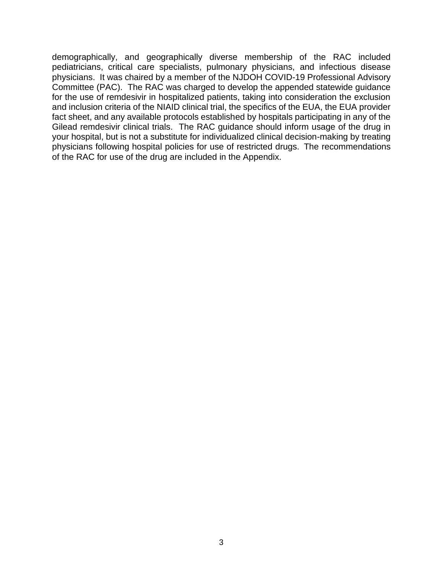demographically, and geographically diverse membership of the RAC included pediatricians, critical care specialists, pulmonary physicians, and infectious disease physicians. It was chaired by a member of the NJDOH COVID-19 Professional Advisory Committee (PAC). The RAC was charged to develop the appended statewide guidance for the use of remdesivir in hospitalized patients, taking into consideration the exclusion and inclusion criteria of the NIAID clinical trial, the specifics of the EUA, the EUA provider fact sheet, and any available protocols established by hospitals participating in any of the Gilead remdesivir clinical trials. The RAC guidance should inform usage of the drug in your hospital, but is not a substitute for individualized clinical decision-making by treating physicians following hospital policies for use of restricted drugs. The recommendations of the RAC for use of the drug are included in the Appendix.